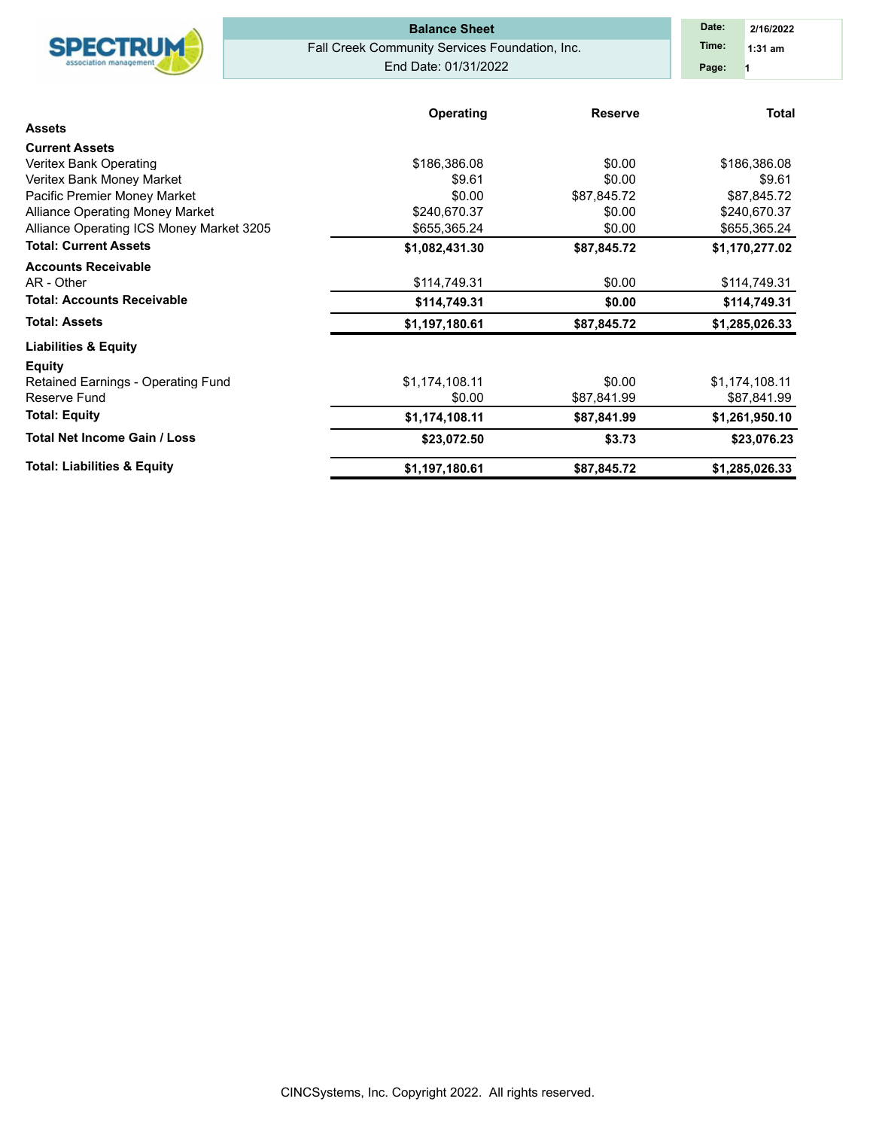|                                          | <b>Balance Sheet</b>                           | Date:<br>2/16/2022 |                |
|------------------------------------------|------------------------------------------------|--------------------|----------------|
| <b>SPECTRUM</b>                          | Fall Creek Community Services Foundation, Inc. | Time:<br>$1:31$ am |                |
|                                          | End Date: 01/31/2022                           |                    | Page:          |
|                                          |                                                |                    |                |
|                                          | Operating                                      | <b>Reserve</b>     | <b>Total</b>   |
| <b>Assets</b>                            |                                                |                    |                |
| <b>Current Assets</b>                    |                                                |                    |                |
| Veritex Bank Operating                   | \$186,386.08                                   | \$0.00             | \$186,386.08   |
| Veritex Bank Money Market                | \$9.61                                         | \$0.00             | \$9.61         |
| Pacific Premier Money Market             | \$0.00                                         | \$87,845.72        | \$87,845.72    |
| Alliance Operating Money Market          | \$240,670.37                                   | \$0.00             | \$240,670.37   |
| Alliance Operating ICS Money Market 3205 | \$655,365.24                                   | \$0.00             | \$655,365.24   |
| <b>Total: Current Assets</b>             | \$1,082,431.30                                 | \$87,845.72        | \$1,170,277.02 |
| <b>Accounts Receivable</b>               |                                                |                    |                |
| AR - Other                               | \$114,749.31                                   | \$0.00             | \$114,749.31   |
| <b>Total: Accounts Receivable</b>        | \$114,749.31                                   | \$0.00             | \$114,749.31   |
| <b>Total: Assets</b>                     | \$1,197,180.61                                 | \$87,845.72        | \$1,285,026.33 |
| <b>Liabilities &amp; Equity</b>          |                                                |                    |                |
| <b>Equity</b>                            |                                                |                    |                |
| Retained Earnings - Operating Fund       | \$1,174,108.11                                 | \$0.00             | \$1,174,108.11 |
| Reserve Fund                             | \$0.00                                         | \$87,841.99        | \$87,841.99    |
| <b>Total: Equity</b>                     | \$1,174,108.11                                 | \$87,841.99        | \$1,261,950.10 |
| <b>Total Net Income Gain / Loss</b>      | \$23,072.50                                    | \$3.73             | \$23,076.23    |
| <b>Total: Liabilities &amp; Equity</b>   | \$1,197,180.61                                 | \$87,845.72        | \$1,285,026.33 |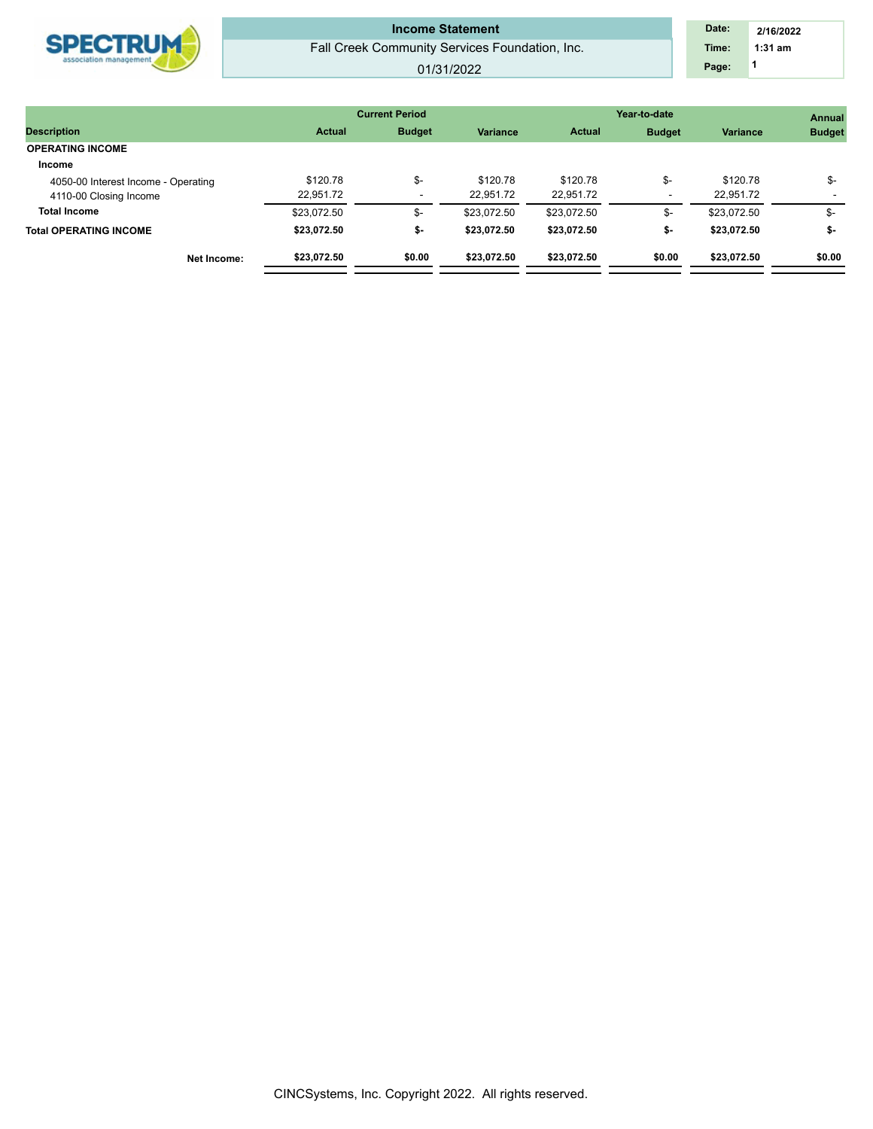| Fall Creek Community Services Foundation, Inc.<br>$1:31$ am<br>Time:<br>association management<br>Page:<br>01/31/2022 | <b>SPECTRUM</b> | <b>Income Statement</b> | Date: | 2/16/2022 |
|-----------------------------------------------------------------------------------------------------------------------|-----------------|-------------------------|-------|-----------|
|                                                                                                                       |                 |                         |       |           |
|                                                                                                                       |                 |                         |       |           |

|                                     |               | <b>Current Period</b>    |                 | Year-to-date  | <b>Annual</b> |                 |               |
|-------------------------------------|---------------|--------------------------|-----------------|---------------|---------------|-----------------|---------------|
| <b>Description</b>                  | <b>Actual</b> | <b>Budget</b>            | <b>Variance</b> | <b>Actual</b> | <b>Budget</b> | <b>Variance</b> | <b>Budget</b> |
| <b>OPERATING INCOME</b>             |               |                          |                 |               |               |                 |               |
| Income                              |               |                          |                 |               |               |                 |               |
| 4050-00 Interest Income - Operating | \$120.78      | \$-                      | \$120.78        | \$120.78      | \$-           | \$120.78        | \$-           |
| 4110-00 Closing Income              | 22,951.72     | $\overline{\phantom{a}}$ | 22,951.72       | 22.951.72     |               | 22.951.72       |               |
| <b>Total Income</b>                 | \$23.072.50   | \$-                      | \$23.072.50     | \$23.072.50   | \$-           | \$23.072.50     | \$-           |
| <b>Total OPERATING INCOME</b>       | \$23.072.50   | ৬-                       | \$23,072.50     | \$23.072.50   | \$-           | \$23.072.50     | \$-           |
| Net Income:                         | \$23,072.50   | \$0.00                   | \$23,072.50     | \$23,072.50   | \$0.00        | \$23,072.50     | \$0.00        |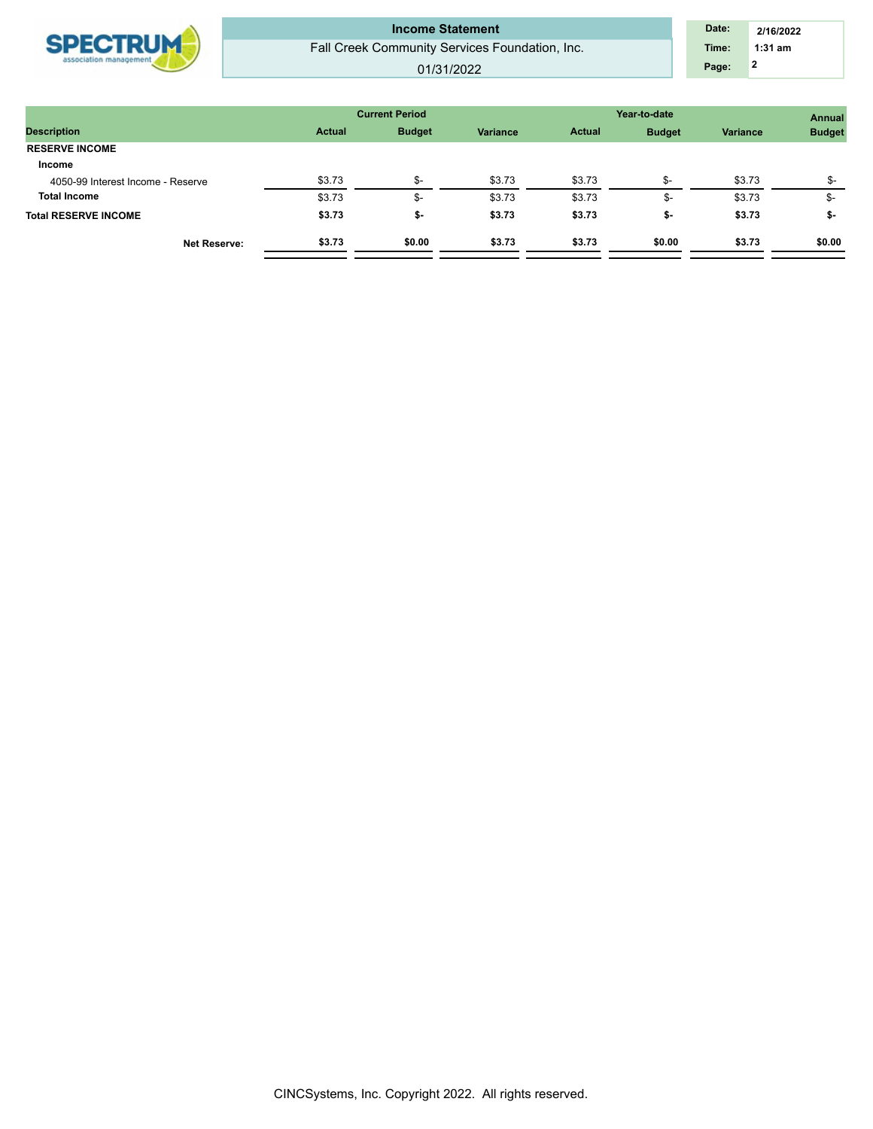| <b>SDECTRIM</b><br>association management | <b>Income Statement</b><br>Fall Creek Community Services Foundation, Inc.<br>01/31/2022 | Date:<br>Time:<br>Page: | 2/16/2022<br>$1:31$ am |
|-------------------------------------------|-----------------------------------------------------------------------------------------|-------------------------|------------------------|
|                                           |                                                                                         |                         |                        |

|               |               |                       |               | <b>Annual</b> |              |               |
|---------------|---------------|-----------------------|---------------|---------------|--------------|---------------|
| <b>Actual</b> | <b>Budget</b> | <b>Variance</b>       | <b>Actual</b> | <b>Budget</b> | Variance     | <b>Budget</b> |
|               |               |                       |               |               |              |               |
|               |               |                       |               |               |              |               |
| \$3.73        | \$-           | \$3.73                | \$3.73        | \$-           | \$3.73       | \$-           |
| \$3.73        | \$-           | \$3.73                | \$3.73        | \$-           | \$3.73       | \$-           |
| \$3.73        | \$-           | \$3.73                | \$3.73        | \$-           | \$3.73       | \$-           |
| \$3.73        | \$0.00        | \$3.73                | \$3.73        | \$0.00        | \$3.73       | \$0.00        |
|               |               | <b>Current Period</b> |               |               | Year-to-date |               |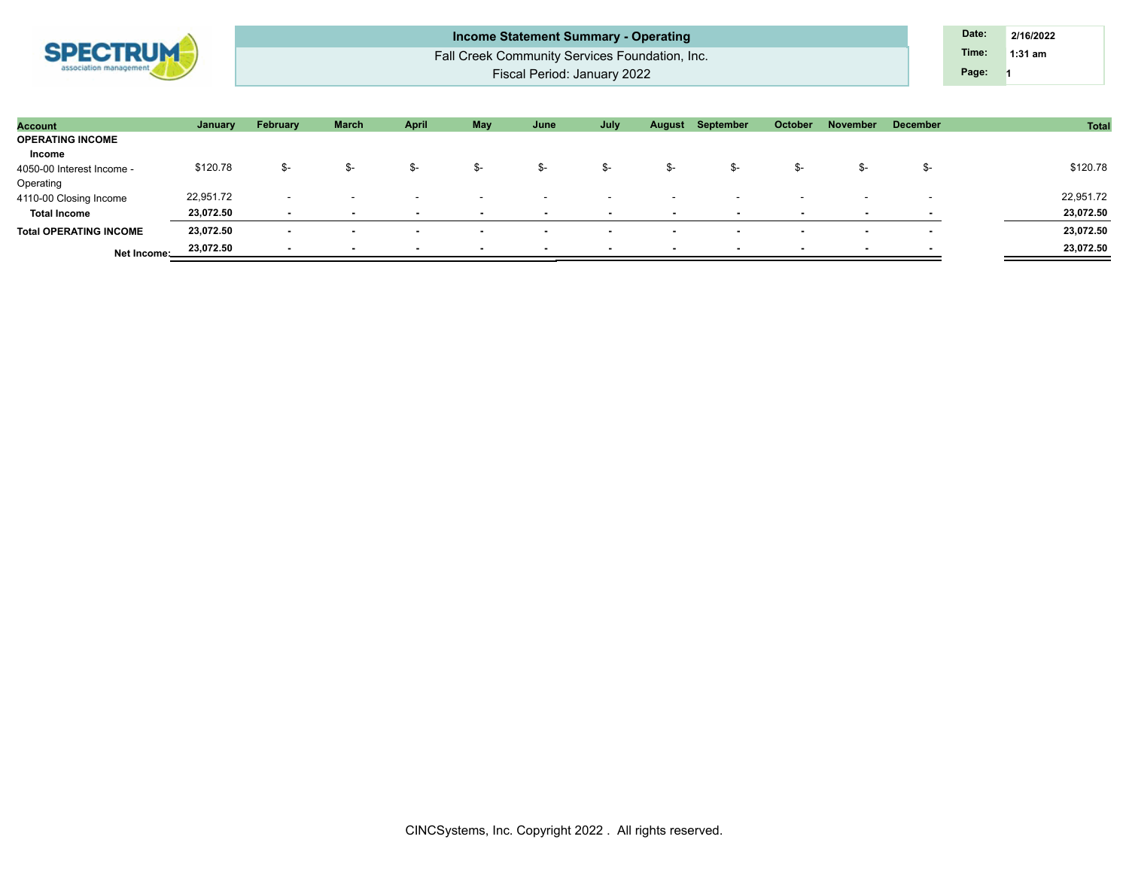

Fall Creek Community Services Foundation, Inc. Fiscal Period: January 2022 **Income Statement Summary - Operating Date: Date: Date: Date: 2/16/2022** 

**1 Time: 1:31 am Page:**

| <b>Account</b>                | January   | February                 | <b>March</b> | April                    | May                      | June                     | July                     | August                   | September                | <b>October</b>           | November                 | <b>December</b>          | Total     |
|-------------------------------|-----------|--------------------------|--------------|--------------------------|--------------------------|--------------------------|--------------------------|--------------------------|--------------------------|--------------------------|--------------------------|--------------------------|-----------|
| <b>OPERATING INCOME</b>       |           |                          |              |                          |                          |                          |                          |                          |                          |                          |                          |                          |           |
| Income                        |           |                          |              |                          |                          |                          |                          |                          |                          |                          |                          |                          |           |
| 4050-00 Interest Income -     | \$120.78  | \$-                      | .ኤ–          | ৬-                       | \$-                      | \$-                      | \$-                      | -ত                       | ৬-                       |                          | ъ-                       | .ኤ–                      | \$120.78  |
| Operating                     |           |                          |              |                          |                          |                          |                          |                          |                          |                          |                          |                          |           |
| 4110-00 Closing Income        | 22,951.72 | . .                      |              |                          |                          |                          | $\sim$                   |                          |                          |                          | $\sim$                   |                          | 22,951.72 |
| <b>Total Income</b>           | 23,072.50 |                          |              | $\overline{\phantom{a}}$ | $\sim$                   | $\overline{\phantom{a}}$ | $\sim$                   | $\overline{\phantom{a}}$ | $\overline{\phantom{a}}$ | $\overline{\phantom{a}}$ | $\overline{\phantom{a}}$ | $\overline{\phantom{a}}$ | 23,072.50 |
| <b>Total OPERATING INCOME</b> | 23,072.50 | $\overline{\phantom{a}}$ |              | $\overline{\phantom{a}}$ | $\overline{\phantom{a}}$ | $\overline{\phantom{a}}$ | . .                      | $\sim$                   |                          | $\sim$                   | $\overline{\phantom{a}}$ | $\sim$                   | 23,072.50 |
| Net Income:                   | 23,072.50 | . .                      |              |                          |                          | $\overline{\phantom{a}}$ | $\overline{\phantom{a}}$ | $\overline{\phantom{a}}$ |                          |                          | $\overline{\phantom{a}}$ |                          | 23,072.50 |